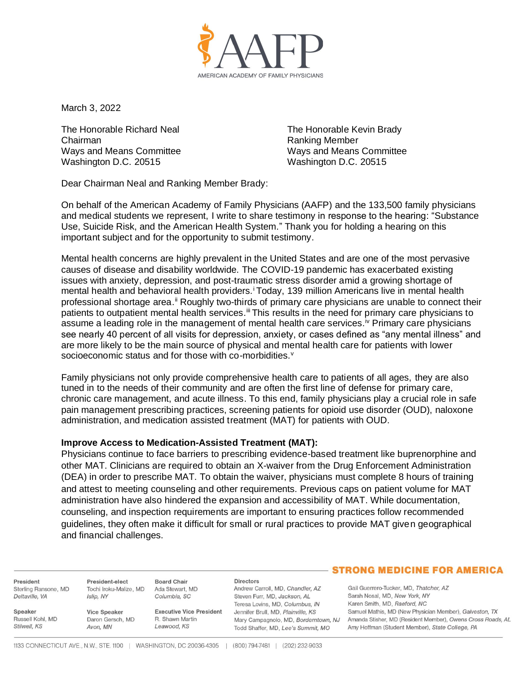

March 3, 2022

The Honorable Richard Neal Chairman Ways and Means Committee Washington D.C. 20515

The Honorable Kevin Brady Ranking Member Ways and Means Committee Washington D.C. 20515

Dear Chairman Neal and Ranking Member Brady:

On behalf of the American Academy of Family Physicians (AAFP) and the 133,500 family physicians and medical students we represent, I write to share testimony in response to the hearing: "Substance Use, Suicide Risk, and the American Health System." Thank you for holding a hearing on this important subject and for the opportunity to submit testimony.

Mental health concerns are highly prevalent in the United States and are one of the most pervasive causes of disease and disability worldwide. The COVID-19 pandemic has exacerbated existing issues with anxiety, depression, and post-traumatic stress disorder amid a growing shortage of mental health and behavioral health providers.<sup>i</sup> Today, 139 million Americans live in mental health professional shortage area.<sup>ii</sup> Roughly two-thirds of primary care physicians are unable to connect their patients to outpatient mental health services.<sup>iii</sup> This results in the need for primary care physicians to assume a leading role in the management of mental health care services.<sup>iv</sup> Primary care physicians see nearly 40 percent of all visits for depression, anxiety, or cases defined as "any mental illness" and are more likely to be the main source of physical and mental health care for patients with lower socioeconomic status and for those with co-morbidities.<sup>v</sup>

Family physicians not only provide comprehensive health care to patients of all ages, they are also tuned in to the needs of their community and are often the first line of defense for primary care, chronic care management, and acute illness. To this end, family physicians play a crucial role in safe pain management prescribing practices, screening patients for opioid use disorder (OUD), naloxone administration, and medication assisted treatment (MAT) for patients with OUD.

## **Improve Access to Medication-Assisted Treatment (MAT):**

Physicians continue to face barriers to prescribing evidence-based treatment like buprenorphine and other MAT. Clinicians are required to obtain an X-waiver from the Drug Enforcement Administration (DEA) in order to prescribe MAT. To obtain the waiver, physicians must complete 8 hours of training and attest to meeting counseling and other requirements. Previous caps on patient volume for MAT administration have also hindered the expansion and accessibility of MAT. While documentation, counseling, and inspection requirements are important to ensuring practices follow recommended guidelines, they often make it difficult for small or rural practices to provide MAT given geographical and financial challenges.

President Sterling Ransone, MD Deltaville, VA

Russell Kohl, MD

Speaker

Stilwell, KS

President-elect Tochi Iroku-Malize, MD Islip, NY

**Board Chair** Ada Stewart, MD Columbia, SC

Vice Speaker Daron Gersch, MD Avon, MN

**Executive Vice President** R. Shawn Martin Leawood, KS

**Directors** 

Andrew Carroll, MD, Chandler, AZ Steven Furr, MD, Jackson, AL Teresa Lovins, MD, Columbus, IN Jennifer Brull, MD, Plainville, KS Mary Campagnolo, MD, Borderntown, NJ Todd Shaffer, MD, Lee's Summit, MO

## **STRONG MEDICINE FOR AMERICA**

Gail Guerrero-Tucker, MD, Thatcher, AZ Sarah Nosal, MD, New York, NY Karen Smith, MD, Raeford, NC Samuel Mathis, MD (New Physician Member), Galveston, TX Amanda Stisher, MD (Resident Member), Owens Cross Roads, AL Amy Hoffman (Student Member), State College, PA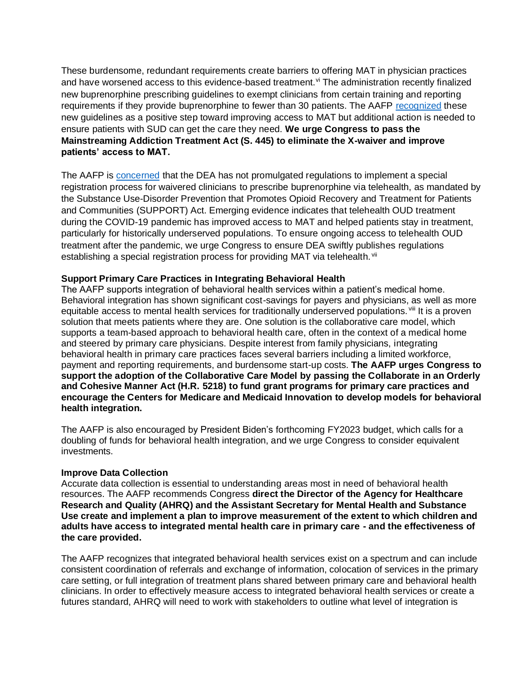These burdensome, redundant requirements create barriers to offering MAT in physician practices and have worsened access to this evidence-based treatment.<sup>vi</sup> The administration recently finalized new buprenorphine prescribing guidelines to exempt clinicians from certain training and reporting requirements if they provide buprenorphine to fewer than 30 patients. The AAFP [recognized](https://www.aafp.org/news/media-center/statements/opioid-use-disorder-treatment.html) these new guidelines as a positive step toward improving access to MAT but additional action is needed to ensure patients with SUD can get the care they need. **We urge Congress to pass the Mainstreaming Addiction Treatment Act (S. 445) to eliminate the X-waiver and improve patients' access to MAT.**

The AAFP is [concerned](https://www.aafp.org/dam/AAFP/documents/advocacy/health_it/telehealth/LT-DEA-SpecialTelemedicineRegistration-102620.pdf) that the DEA has not promulgated regulations to implement a special registration process for waivered clinicians to prescribe buprenorphine via telehealth, as mandated by the Substance Use-Disorder Prevention that Promotes Opioid Recovery and Treatment for Patients and Communities (SUPPORT) Act. Emerging evidence indicates that telehealth OUD treatment during the COVID-19 pandemic has improved access to MAT and helped patients stay in treatment, particularly for historically underserved populations. To ensure ongoing access to telehealth OUD treatment after the pandemic, we urge Congress to ensure DEA swiftly publishes regulations establishing a special registration process for providing MAT via telehealth. vii

## **Support Primary Care Practices in Integrating Behavioral Health**

The AAFP supports integration of behavioral health services within a patient's medical home. Behavioral integration has shown significant cost-savings for payers and physicians, as well as more equitable access to mental health services for traditionally underserved populations. Vill It is a proven solution that meets patients where they are. One solution is the collaborative care model, which supports a team-based approach to behavioral health care, often in the context of a medical home and steered by primary care physicians. Despite interest from family physicians, integrating behavioral health in primary care practices faces several barriers including a limited workforce, payment and reporting requirements, and burdensome start-up costs. **The AAFP urges Congress to support the adoption of the Collaborative Care Model by passing the Collaborate in an Orderly and Cohesive Manner Act (H.R. 5218) to fund grant programs for primary care practices and encourage the Centers for Medicare and Medicaid Innovation to develop models for behavioral health integration.**

The AAFP is also encouraged by President Biden's forthcoming FY2023 budget, which calls for a doubling of funds for behavioral health integration, and we urge Congress to consider equivalent investments.

## **Improve Data Collection**

Accurate data collection is essential to understanding areas most in need of behavioral health resources. The AAFP recommends Congress **direct the Director of the Agency for Healthcare Research and Quality (AHRQ) and the Assistant Secretary for Mental Health and Substance Use create and implement a plan to improve measurement of the extent to which children and adults have access to integrated mental health care in primary care - and the effectiveness of the care provided.** 

The AAFP recognizes that integrated behavioral health services exist on a spectrum and can include consistent coordination of referrals and exchange of information, colocation of services in the primary care setting, or full integration of treatment plans shared between primary care and behavioral health clinicians. In order to effectively measure access to integrated behavioral health services or create a futures standard, AHRQ will need to work with stakeholders to outline what level of integration is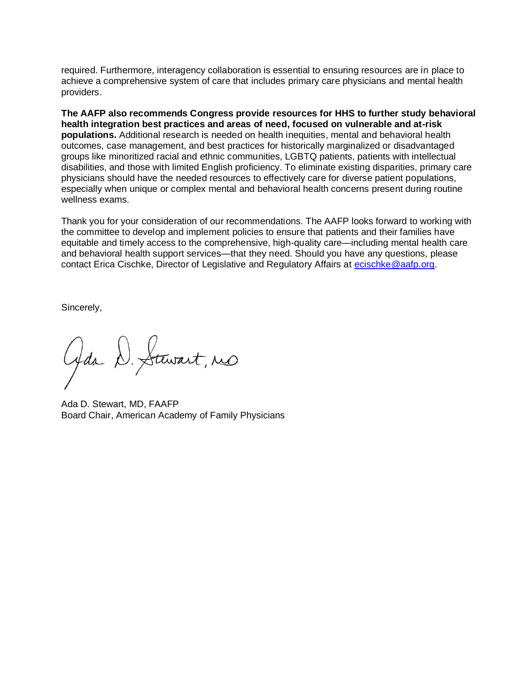required. Furthermore, interagency collaboration is essential to ensuring resources are in place to achieve a comprehensive system of care that includes primary care physicians and mental health providers.

**The AAFP also recommends Congress provide resources for HHS to further study behavioral health integration best practices and areas of need, focused on vulnerable and at-risk populations.** Additional research is needed on health inequities, mental and behavioral health outcomes, case management, and best practices for historically marginalized or disadvantaged groups like minoritized racial and ethnic communities, LGBTQ patients, patients with intellectual disabilities, and those with limited English proficiency. To eliminate existing disparities, primary care physicians should have the needed resources to effectively care for diverse patient populations, especially when unique or complex mental and behavioral health concerns present during routine wellness exams.

Thank you for your consideration of our recommendations. The AAFP looks forward to working with the committee to develop and implement policies to ensure that patients and their families have equitable and timely access to the comprehensive, high-quality care—including mental health care and behavioral health support services—that they need. Should you have any questions, please contact Erica Cischke, Director of Legislative and Regulatory Affairs at [ecischke@aafp.org.](mailto:ecischke@aafp.org)

Sincerely,

Gda D. Stewart, res

Ada D. Stewart, MD, FAAFP Board Chair, American Academy of Family Physicians